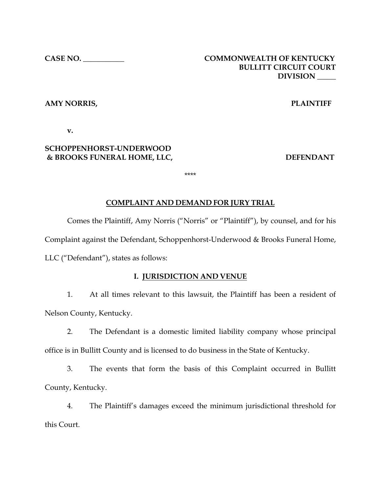# **CASE NO. \_\_\_\_\_\_\_\_\_\_\_ COMMONWEALTH OF KENTUCKY BULLITT CIRCUIT COURT DIVISION \_\_\_\_\_**

## **AMY NORRIS, PLAINTIFF**

**v.**

# **SCHOPPENHORST-UNDERWOOD & BROOKS FUNERAL HOME, LLC, DEFENDANT**

\*\*\*\*

## **COMPLAINT AND DEMAND FOR JURY TRIAL**

Comes the Plaintiff, Amy Norris ("Norris" or "Plaintiff"), by counsel, and for his Complaint against the Defendant, Schoppenhorst-Underwood & Brooks Funeral Home, LLC ("Defendant"), states as follows:

### **I. JURISDICTION AND VENUE**

1. At all times relevant to this lawsuit, the Plaintiff has been a resident of Nelson County, Kentucky.

2. The Defendant is a domestic limited liability company whose principal office is in Bullitt County and is licensed to do business in the State of Kentucky.

3. The events that form the basis of this Complaint occurred in Bullitt County, Kentucky.

4. The Plaintiff's damages exceed the minimum jurisdictional threshold for this Court.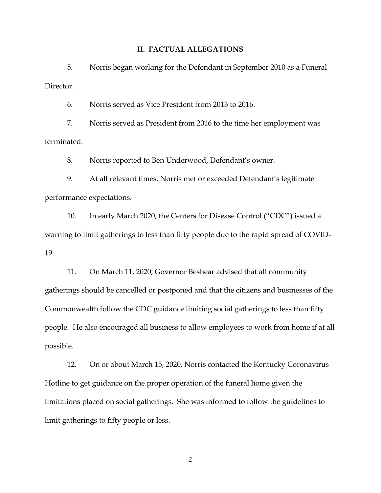#### **II. FACTUAL ALLEGATIONS**

5. Norris began working for the Defendant in September 2010 as a Funeral Director.

6. Norris served as Vice President from 2013 to 2016.

7. Norris served as President from 2016 to the time her employment was terminated.

8. Norris reported to Ben Underwood, Defendant's owner.

9. At all relevant times, Norris met or exceeded Defendant's legitimate performance expectations.

10. In early March 2020, the Centers for Disease Control ("CDC") issued a warning to limit gatherings to less than fifty people due to the rapid spread of COVID-19.

11. On March 11, 2020, Governor Beshear advised that all community gatherings should be cancelled or postponed and that the citizens and businesses of the Commonwealth follow the CDC guidance limiting social gatherings to less than fifty people. He also encouraged all business to allow employees to work from home if at all possible.

12. On or about March 15, 2020, Norris contacted the Kentucky Coronavirus Hotline to get guidance on the proper operation of the funeral home given the limitations placed on social gatherings. She was informed to follow the guidelines to limit gatherings to fifty people or less.

2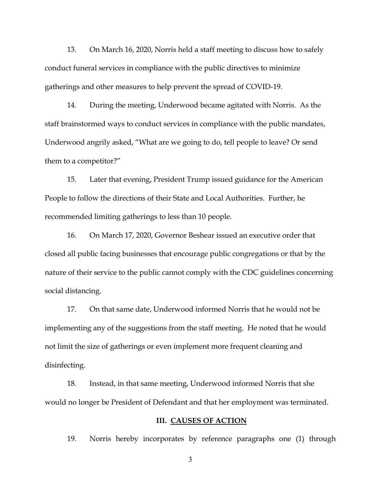13. On March 16, 2020, Norris held a staff meeting to discuss how to safely conduct funeral services in compliance with the public directives to minimize gatherings and other measures to help prevent the spread of COVID-19.

14. During the meeting, Underwood became agitated with Norris. As the staff brainstormed ways to conduct services in compliance with the public mandates, Underwood angrily asked, "What are we going to do, tell people to leave? Or send them to a competitor?"

15. Later that evening, President Trump issued guidance for the American People to follow the directions of their State and Local Authorities. Further, he recommended limiting gatherings to less than 10 people.

16. On March 17, 2020, Governor Beshear issued an executive order that closed all public facing businesses that encourage public congregations or that by the nature of their service to the public cannot comply with the CDC guidelines concerning social distancing.

17. On that same date, Underwood informed Norris that he would not be implementing any of the suggestions from the staff meeting. He noted that he would not limit the size of gatherings or even implement more frequent cleaning and disinfecting.

18. Instead, in that same meeting, Underwood informed Norris that she would no longer be President of Defendant and that her employment was terminated.

### **III. CAUSES OF ACTION**

19. Norris hereby incorporates by reference paragraphs one (1) through

3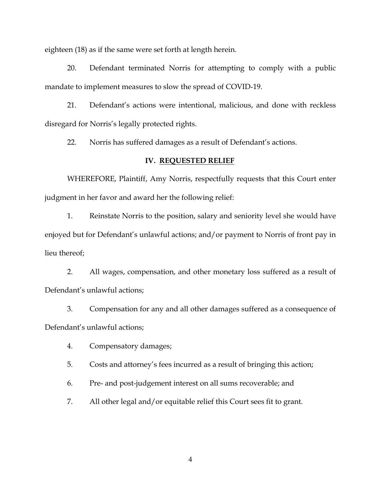eighteen (18) as if the same were set forth at length herein.

20. Defendant terminated Norris for attempting to comply with a public mandate to implement measures to slow the spread of COVID-19.

21. Defendant's actions were intentional, malicious, and done with reckless disregard for Norris's legally protected rights.

22. Norris has suffered damages as a result of Defendant's actions.

#### **IV. REQUESTED RELIEF**

WHEREFORE, Plaintiff, Amy Norris, respectfully requests that this Court enter judgment in her favor and award her the following relief:

1. Reinstate Norris to the position, salary and seniority level she would have enjoyed but for Defendant's unlawful actions; and/or payment to Norris of front pay in lieu thereof;

2. All wages, compensation, and other monetary loss suffered as a result of Defendant's unlawful actions;

3. Compensation for any and all other damages suffered as a consequence of Defendant's unlawful actions;

4. Compensatory damages;

5. Costs and attorney's fees incurred as a result of bringing this action;

6. Pre- and post-judgement interest on all sums recoverable; and

7. All other legal and/or equitable relief this Court sees fit to grant.

4